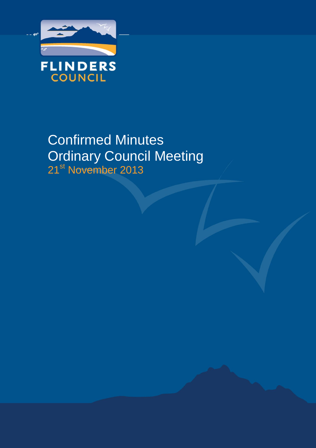

# Confirmed Minutes Ordinary Council Meeting 21<sup>st</sup> November 2013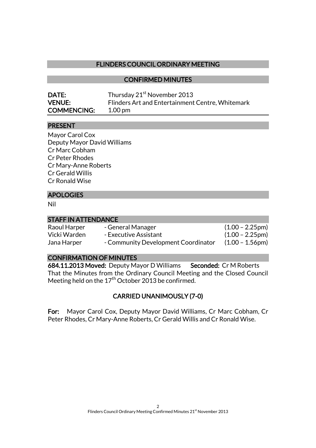## FLINDERS COUNCIL ORDINARY MEETING

#### CONFIRMED MINUTES

| DATE:              | Thursday 21 <sup>st</sup> November 2013          |
|--------------------|--------------------------------------------------|
| <b>VENUE:</b>      | Flinders Art and Entertainment Centre, Whitemark |
| <b>COMMENCING:</b> | $1.00 \,\mathrm{pm}$                             |

### PRESENT

Mayor Carol Cox Deputy Mayor David Williams Cr Marc Cobham Cr Peter Rhodes Cr Mary-Anne Roberts Cr Gerald Willis Cr Ronald Wise

## APOLOGIES

Nil

| <b>STAFF IN ATTENDANCE</b> |                                     |                           |
|----------------------------|-------------------------------------|---------------------------|
| Raoul Harper               | - General Manager                   | $(1.00 - 2.25)$ pm        |
| Vicki Warden               | - Executive Assistant               | $(1.00 - 2.25 \text{pm})$ |
| Jana Harper                | - Community Development Coordinator | $(1.00 - 1.56$ pm $)$     |

#### CONFIRMATION OF MINUTES

684.11.2013 Moved: Deputy Mayor D Williams Seconded: Cr M Roberts That the Minutes from the Ordinary Council Meeting and the Closed Council Meeting held on the  $17<sup>th</sup>$  October 2013 be confirmed.

## CARRIED UNANIMOUSLY (7-0)

For: Mayor Carol Cox, Deputy Mayor David Williams, Cr Marc Cobham, Cr Peter Rhodes, Cr Mary-Anne Roberts, Cr Gerald Willis and Cr Ronald Wise.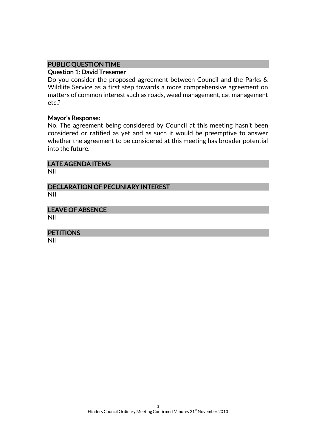## PUBLIC QUESTION TIME

#### Question 1: David Tresemer

Do you consider the proposed agreement between Council and the Parks & Wildlife Service as a first step towards a more comprehensive agreement on matters of common interest such as roads, weed management, cat management etc.?

#### Mayor's Response:

No. The agreement being considered by Council at this meeting hasn't been considered or ratified as yet and as such it would be preemptive to answer whether the agreement to be considered at this meeting has broader potential into the future.

## LATE AGENDA ITEMS

Nil

#### DECLARATION OF PECUNIARY INTEREST Nil

LEAVE OF ABSENCE Nil

**PETITIONS**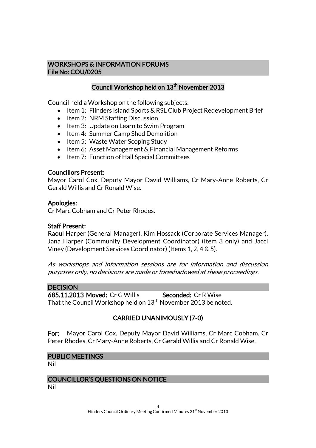#### WORKSHOPS & INFORMATION FORUMS File No: COU/0205

## Council Workshop held on 13<sup>th</sup> November 2013

Council held a Workshop on the following subjects:

- Item 1: Flinders Island Sports & RSL Club Project Redevelopment Brief
- Item 2: NRM Staffing Discussion
- Item 3: Update on Learn to Swim Program
- Item 4: Summer Camp Shed Demolition
- Item 5: Waste Water Scoping Study
- Item 6: Asset Management & Financial Management Reforms
- Item 7: Function of Hall Special Committees

#### Councillors Present:

Mayor Carol Cox, Deputy Mayor David Williams, Cr Mary-Anne Roberts, Cr Gerald Willis and Cr Ronald Wise.

#### Apologies:

Cr Marc Cobham and Cr Peter Rhodes.

#### Staff Present:

Raoul Harper (General Manager), Kim Hossack (Corporate Services Manager), Jana Harper (Community Development Coordinator) (Item 3 only) and Jacci Viney (Development Services Coordinator) (Items 1, 2, 4 & 5).

As workshops and information sessions are for information and discussion purposes only, no decisions are made or foreshadowed at these proceedings.

#### **DECISION**

685.11.2013 Moved: Cr G Willis Seconded: Cr R Wise That the Council Workshop held on  $13<sup>th</sup>$  November 2013 be noted.

## CARRIED UNANIMOUSLY (7-0)

For: Mayor Carol Cox, Deputy Mayor David Williams, Cr Marc Cobham, Cr Peter Rhodes, Cr Mary-Anne Roberts, Cr Gerald Willis and Cr Ronald Wise.

#### PUBLIC MEETINGS

Nil

## COUNCILLOR'S QUESTIONS ON NOTICE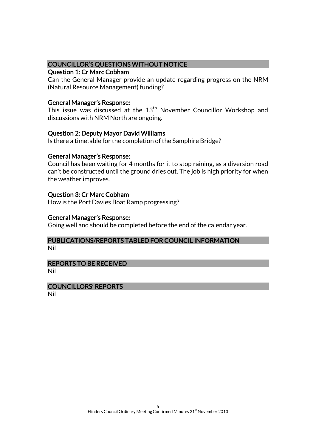### COUNCILLOR'S QUESTIONS WITHOUT NOTICE

#### Question 1: Cr Marc Cobham

Can the General Manager provide an update regarding progress on the NRM (Natural Resource Management) funding?

#### General Manager's Response:

This issue was discussed at the  $13<sup>th</sup>$  November Councillor Workshop and discussions with NRM North are ongoing.

### Question 2: Deputy Mayor David Williams

Is there a timetable for the completion of the Samphire Bridge?

#### General Manager's Response:

Council has been waiting for 4 months for it to stop raining, as a diversion road can't be constructed until the ground dries out. The job is high priority for when the weather improves.

### Question 3: Cr Marc Cobham

How is the Port Davies Boat Ramp progressing?

#### General Manager's Response:

Going well and should be completed before the end of the calendar year.

## PUBLICATIONS/REPORTS TABLED FOR COUNCIL INFORMATION

Nil

#### REPORTS TO BE RECEIVED

Nil

#### COUNCILLORS' REPORTS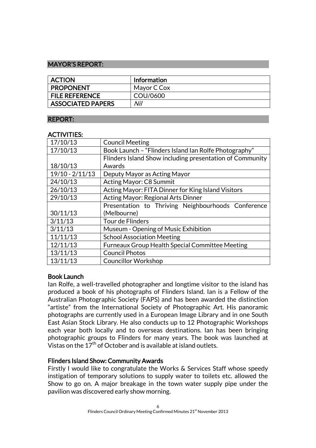### MAYOR'S REPORT:

| <b>ACTION</b>            | <b>Information</b> |
|--------------------------|--------------------|
| <b>PROPONENT</b>         | Mayor C Cox        |
| <b>FILE REFERENCE</b>    | COU/0600           |
| <b>ASSOCIATED PAPERS</b> | Nil                |

#### REPORT:

#### ACTIVITIES:

| 17/10/13          | <b>Council Meeting</b>                                   |  |
|-------------------|----------------------------------------------------------|--|
|                   |                                                          |  |
| 17/10/13          | Book Launch - "Flinders Island Ian Rolfe Photography"    |  |
|                   | Flinders Island Show including presentation of Community |  |
| 18/10/13          | Awards                                                   |  |
| $19/10 - 2/11/13$ | Deputy Mayor as Acting Mayor                             |  |
| 24/10/13          | Acting Mayor: C8 Summit                                  |  |
| 26/10/13          | Acting Mayor: FITA Dinner for King Island Visitors       |  |
| 29/10/13          | Acting Mayor: Regional Arts Dinner                       |  |
|                   | Presentation to Thriving Neighbourhoods Conference       |  |
| 30/11/13          | (Melbourne)                                              |  |
| 3/11/13           | Tour de Flinders                                         |  |
| 3/11/13           | Museum - Opening of Music Exhibition                     |  |
| 11/11/13          | <b>School Association Meeting</b>                        |  |
| 12/11/13          | <b>Furneaux Group Health Special Committee Meeting</b>   |  |
| 13/11/13          | <b>Council Photos</b>                                    |  |
| 13/11/13          | <b>Councillor Workshop</b>                               |  |

## Book Launch

Ian Rolfe, a well-travelled photographer and longtime visitor to the island has produced a book of his photographs of Flinders Island. Ian is a Fellow of the Australian Photographic Society (FAPS) and has been awarded the distinction "artiste" from the International Society of Photographic Art. His panoramic photographs are currently used in a European Image Library and in one South East Asian Stock Library. He also conducts up to 12 Photographic Workshops each year both locally and to overseas destinations. Ian has been bringing photographic groups to Flinders for many years. The book was launched at Vistas on the  $17^{\text{th}}$  of October and is available at island outlets.

## Flinders Island Show: Community Awards

Firstly I would like to congratulate the Works & Services Staff whose speedy instigation of temporary solutions to supply water to toilets etc. allowed the Show to go on. A major breakage in the town water supply pipe under the pavilion was discovered early show morning.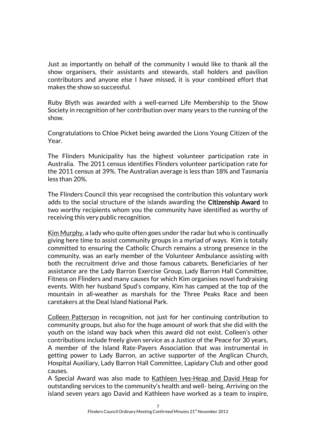Just as importantly on behalf of the community I would like to thank all the show organisers, their assistants and stewards, stall holders and pavilion contributors and anyone else I have missed, it is your combined effort that makes the show so successful.

Ruby Blyth was awarded with a well-earned Life Membership to the Show Society in recognition of her contribution over many years to the running of the show.

Congratulations to Chloe Picket being awarded the Lions Young Citizen of the Year.

The Flinders Municipality has the highest volunteer participation rate in Australia. The 2011 census identifies Flinders volunteer participation rate for the 2011 census at 39%. The Australian average is less than 18% and Tasmania less than 20%.

The Flinders Council this year recognised the contribution this voluntary work adds to the social structure of the islands awarding the Citizenship Award to two worthy recipients whom you the community have identified as worthy of receiving this very public recognition.

Kim Murphy, a lady who quite often goes under the radar but who is continually giving here time to assist community groups in a myriad of ways. Kim is totally committed to ensuring the Catholic Church remains a strong presence in the community, was an early member of the Volunteer Ambulance assisting with both the recruitment drive and those famous cabarets. Beneficiaries of her assistance are the Lady Barron Exercise Group, Lady Barron Hall Committee, Fitness on Flinders and many causes for which Kim organises novel fundraising events. With her husband Spud's company, Kim has camped at the top of the mountain in all-weather as marshals for the Three Peaks Race and been caretakers at the Deal Island National Park.

Colleen Patterson in recognition, not just for her continuing contribution to community groups, but also for the huge amount of work that she did with the youth on the island way back when this award did not exist. Colleen's other contributions include freely given service as a Justice of the Peace for 30 years, A member of the Island Rate-Payers Association that was instrumental in getting power to Lady Barron, an active supporter of the Anglican Church, Hospital Auxiliary, Lady Barron Hall Committee, Lapidary Club and other good causes.

A Special Award was also made to Kathleen Ives-Heap and David Heap for outstanding services to the community's health and well- being. Arriving on the island seven years ago David and Kathleen have worked as a team to inspire,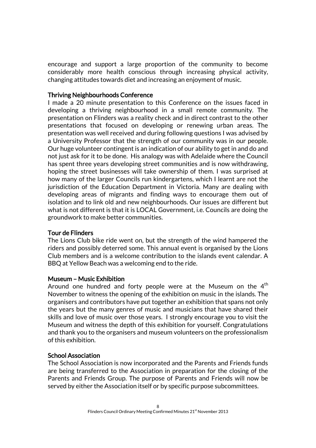encourage and support a large proportion of the community to become considerably more health conscious through increasing physical activity, changing attitudes towards diet and increasing an enjoyment of music.

#### Thriving Neighbourhoods Conference

I made a 20 minute presentation to this Conference on the issues faced in developing a thriving neighbourhood in a small remote community. The presentation on Flinders was a reality check and in direct contrast to the other presentations that focused on developing or renewing urban areas. The presentation was well received and during following questions I was advised by a University Professor that the strength of our community was in our people. Our huge volunteer contingent is an indication of our ability to get in and do and not just ask for it to be done. His analogy was with Adelaide where the Council has spent three years developing street communities and is now withdrawing, hoping the street businesses will take ownership of them. I was surprised at how many of the larger Councils run kindergartens, which I learnt are not the jurisdiction of the Education Department in Victoria. Many are dealing with developing areas of migrants and finding ways to encourage them out of isolation and to link old and new neighbourhoods. Our issues are different but what is not different is that it is LOCAL Government, i.e. Councils are doing the groundwork to make better communities.

## Tour de Flinders

The Lions Club bike ride went on, but the strength of the wind hampered the riders and possibly deterred some. This annual event is organised by the Lions Club members and is a welcome contribution to the islands event calendar. A BBQ at Yellow Beach was a welcoming end to the ride.

#### Museum – Music Exhibition

Around one hundred and forty people were at the Museum on the  $4<sup>th</sup>$ November to witness the opening of the exhibition on music in the islands. The organisers and contributors have put together an exhibition that spans not only the years but the many genres of music and musicians that have shared their skills and love of music over those years. I strongly encourage you to visit the Museum and witness the depth of this exhibition for yourself. Congratulations and thank you to the organisers and museum volunteers on the professionalism of this exhibition.

#### School Association

The School Association is now incorporated and the Parents and Friends funds are being transferred to the Association in preparation for the closing of the Parents and Friends Group. The purpose of Parents and Friends will now be served by either the Association itself or by specific purpose subcommittees.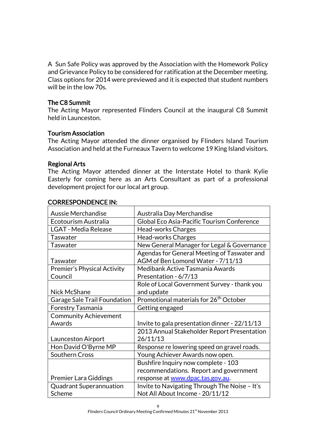A Sun Safe Policy was approved by the Association with the Homework Policy and Grievance Policy to be considered for ratification at the December meeting. Class options for 2014 were previewed and it is expected that student numbers will be in the low 70s.

## The C8 Summit

The Acting Mayor represented Flinders Council at the inaugural C8 Summit held in Launceston.

### Tourism Association

The Acting Mayor attended the dinner organised by Flinders Island Tourism Association and held at the Furneaux Tavern to welcome 19 King Island visitors.

### Regional Arts

The Acting Mayor attended dinner at the Interstate Hotel to thank Kylie Easterly for coming here as an Arts Consultant as part of a professional development project for our local art group.

| <b>Aussie Merchandise</b>          | Australia Day Merchandise                          |
|------------------------------------|----------------------------------------------------|
| Ecotourism Australia               | Global Eco Asia-Pacific Tourism Conference         |
| <b>LGAT - Media Release</b>        | Head-works Charges                                 |
| Taswater                           | <b>Head-works Charges</b>                          |
| <b>Taswater</b>                    | New General Manager for Legal & Governance         |
|                                    | Agendas for General Meeting of Taswater and        |
| <b>Taswater</b>                    | AGM of Ben Lomond Water - 7/11/13                  |
| <b>Premier's Physical Activity</b> | Medibank Active Tasmania Awards                    |
| Council                            | Presentation - 6/7/13                              |
|                                    | Role of Local Government Survey - thank you        |
| Nick McShane                       | and update                                         |
| Garage Sale Trail Foundation       | Promotional materials for 26 <sup>th</sup> October |
| Forestry Tasmania                  | Getting engaged                                    |
| <b>Community Achievement</b>       |                                                    |
| Awards                             | Invite to gala presentation dinner - 22/11/13      |
|                                    | 2013 Annual Stakeholder Report Presentation        |
| Launceston Airport                 | 26/11/13                                           |
| Hon David O'Byrne MP               | Response re lowering speed on gravel roads.        |
| <b>Southern Cross</b>              | Young Achiever Awards now open.                    |
|                                    | Bushfire Inquiry now complete - 103                |
|                                    | recommendations. Report and government             |
| <b>Premier Lara Giddings</b>       | response at www.dpac.tas.gov.au.                   |
| <b>Quadrant Superannuation</b>     | Invite to Navigating Through The Noise - It's      |
| Scheme                             | Not All About Income - 20/11/12                    |

## CORRESPONDENCE IN: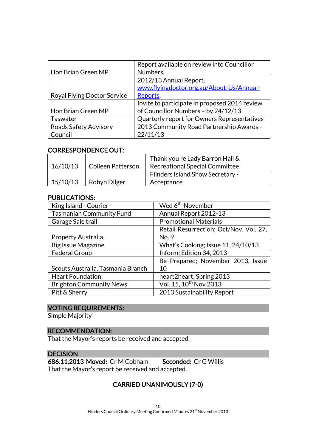|                             | Report available on review into Councillor    |
|-----------------------------|-----------------------------------------------|
| Hon Brian Green MP          | Numbers.                                      |
|                             | 2012/13 Annual Report,                        |
|                             | www.flyingdoctor.org.au/About-Us/Annual-      |
| Royal Flying Doctor Service | Reports.                                      |
|                             | Invite to participate in proposed 2014 review |
| Hon Brian Green MP          | of Councillor Numbers - by 24/12/13           |
| Taswater                    | Quarterly report for Owners Representatives   |
| Roads Safety Advisory       | 2013 Community Road Partnership Awards -      |
| Council                     | 22/11/13                                      |

#### CORRESPONDENCE OUT:

|          |                          | Thank you re Lady Barron Hall &         |
|----------|--------------------------|-----------------------------------------|
| 16/10/13 | <b>Colleen Patterson</b> | <b>Recreational Special Committee</b>   |
|          |                          | <b>Flinders Island Show Secretary -</b> |
| 15/10/13 | Robyn Dilger             | Acceptance                              |

### PUBLICATIONS:

| King Island - Courier             | Wed 6 <sup>th</sup> November           |
|-----------------------------------|----------------------------------------|
| <b>Tasmanian Community Fund</b>   | Annual Report 2012-13                  |
| Garage Sale trail                 | <b>Promotional Materials</b>           |
|                                   | Retail Resurrection; Oct/Nov, Vol. 27, |
| <b>Property Australia</b>         | No. 9                                  |
| <b>Big Issue Magazine</b>         | What's Cooking; Issue 11, 24/10/13     |
| <b>Federal Group</b>              | Inform; Edition 34, 2013               |
|                                   | Be Prepared; November 2013, Issue      |
| Scouts Australia, Tasmania Branch | 10                                     |
| <b>Heart Foundation</b>           | heart2heart; Spring 2013               |
| <b>Brighton Community News</b>    | Vol. 15, 10 <sup>th</sup> Nov 2013     |
| Pitt & Sherry                     | 2013 Sustainability Report             |

## VOTING REQUIREMENTS:

Simple Majority

#### RECOMMENDATION:

That the Mayor's reports be received and accepted.

## **DECISION**

686.11.2013 Moved: Cr M Cobham Seconded: Cr G Willis That the Mayor's report be received and accepted.

# CARRIED UNANIMOUSLY (7-0)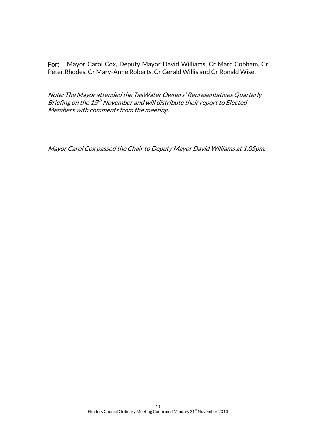For: Mayor Carol Cox, Deputy Mayor David Williams, Cr Marc Cobham, Cr Peter Rhodes, Cr Mary-Anne Roberts, Cr Gerald Willis and Cr Ronald Wise.

Note: The Mayor attended the TasWater Owners' Representatives Quarterly Briefing on the 15<sup>th</sup> November and will distribute their report to Elected Members with comments from the meeting.

Mayor Carol Cox passed the Chair to Deputy Mayor David Williams at 1.05pm.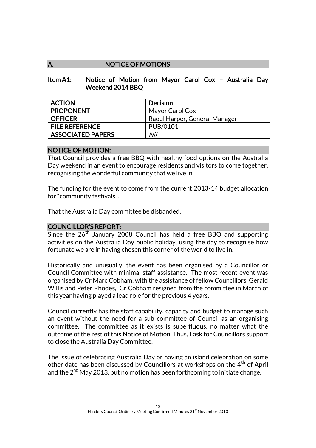## A. NOTICE OF MOTIONS

#### Item A1: Notice of Motion from Mayor Carol Cox – Australia Day Weekend 2014 BBQ

| <b>ACTION</b>            | <b>Decision</b>               |
|--------------------------|-------------------------------|
| <b>PROPONENT</b>         | Mayor Carol Cox               |
| <b>OFFICER</b>           | Raoul Harper, General Manager |
| <b>FILE REFERENCE</b>    | PUB/0101                      |
| <b>ASSOCIATED PAPERS</b> | Nil                           |

#### NOTICE OF MOTION:

That Council provides a free BBQ with healthy food options on the Australia Day weekend in an event to encourage residents and visitors to come together, recognising the wonderful community that we live in.

The funding for the event to come from the current 2013-14 budget allocation for "community festivals".

That the Australia Day committee be disbanded.

#### COUNCILLOR'S REPORT:

Since the  $26<sup>th</sup>$  January 2008 Council has held a free BBQ and supporting activities on the Australia Day public holiday, using the day to recognise how fortunate we are in having chosen this corner of the world to live in.

Historically and unusually, the event has been organised by a Councillor or Council Committee with minimal staff assistance. The most recent event was organised by Cr Marc Cobham, with the assistance of fellow Councillors, Gerald Willis and Peter Rhodes. Cr Cobham resigned from the committee in March of this year having played a lead role for the previous 4 years.

Council currently has the staff capability, capacity and budget to manage such an event without the need for a sub committee of Council as an organising committee. The committee as it exists is superfluous, no matter what the outcome of the rest of this Notice of Motion. Thus, I ask for Councillors support to close the Australia Day Committee.

The issue of celebrating Australia Day or having an island celebration on some other date has been discussed by Councillors at workshops on the 4<sup>th</sup> of April and the  $2^{nd}$  May 2013, but no motion has been forthcoming to initiate change.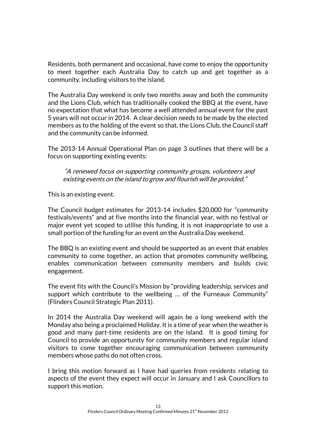Residents, both permanent and occasional, have come to enjoy the opportunity to meet together each Australia Day to catch up and get together as a community, including visitors to the island.

The Australia Day weekend is only two months away and both the community and the Lions Club, which has traditionally cooked the BBQ at the event, have no expectation that what has become a well attended annual event for the past 5 years will not occur in 2014. A clear decision needs to be made by the elected members as to the holding of the event so that, the Lions Club, the Council staff and the community can be informed.

The 2013-14 Annual Operational Plan on page 3 outlines that there will be a focus on supporting existing events:

"A renewed focus on supporting community groups, volunteers and existing events on the island to grow and flourish will be provided."

This is an existing event.

The Council budget estimates for 2013-14 includes \$20,000 for "community festivals/events" and at five months into the financial year, with no festival or major event yet scoped to utilise this funding, it is not inappropriate to use a small portion of the funding for an event on the Australia Day weekend.

The BBQ is an existing event and should be supported as an event that enables community to come together, an action that promotes community wellbeing, enables communication between community members and builds civic engagement.

The event fits with the Council's Mission by "providing leadership, services and support which contribute to the wellbeing … of the Furneaux Community" (Flinders Council Strategic Plan 2011).

In 2014 the Australia Day weekend will again be a long weekend with the Monday also being a proclaimed Holiday. It is a time of year when the weather is good and many part-time residents are on the island. It is good timing for Council to provide an opportunity for community members and regular island visitors to come together encouraging communication between community members whose paths do not often cross.

I bring this motion forward as I have had queries from residents relating to aspects of the event they expect will occur in January and I ask Councillors to support this motion.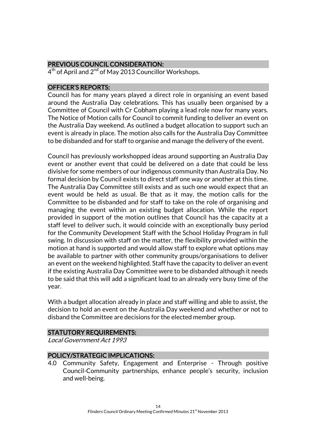## PREVIOUS COUNCIL CONSIDERATION:

4<sup>th</sup> of April and 2<sup>nd</sup> of May 2013 Councillor Workshops.

## OFFICER'S REPORTS:

Council has for many years played a direct role in organising an event based around the Australia Day celebrations. This has usually been organised by a Committee of Council with Cr Cobham playing a lead role now for many years. The Notice of Motion calls for Council to commit funding to deliver an event on the Australia Day weekend. As outlined a budget allocation to support such an event is already in place. The motion also calls for the Australia Day Committee to be disbanded and for staff to organise and manage the delivery of the event.

Council has previously workshopped ideas around supporting an Australia Day event or another event that could be delivered on a date that could be less divisive for some members of our indigenous community than Australia Day. No formal decision by Council exists to direct staff one way or another at this time. The Australia Day Committee still exists and as such one would expect that an event would be held as usual. Be that as it may, the motion calls for the Committee to be disbanded and for staff to take on the role of organising and managing the event within an existing budget allocation. While the report provided in support of the motion outlines that Council has the capacity at a staff level to deliver such, it would coincide with an exceptionally busy period for the Community Development Staff with the School Holiday Program in full swing. In discussion with staff on the matter, the flexibility provided within the motion at hand is supported and would allow staff to explore what options may be available to partner with other community groups/organisations to deliver an event on the weekend highlighted. Staff have the capacity to deliver an event if the existing Australia Day Committee were to be disbanded although it needs to be said that this will add a significant load to an already very busy time of the year.

With a budget allocation already in place and staff willing and able to assist, the decision to hold an event on the Australia Day weekend and whether or not to disband the Committee are decisions for the elected member group.

## STATUTORY REQUIREMENTS:

Local Government Act 1993

## POLICY/STRATEGIC IMPLICATIONS:

4.0 Community Safety, Engagement and Enterprise - Through positive Council-Community partnerships, enhance people's security, inclusion and well-being.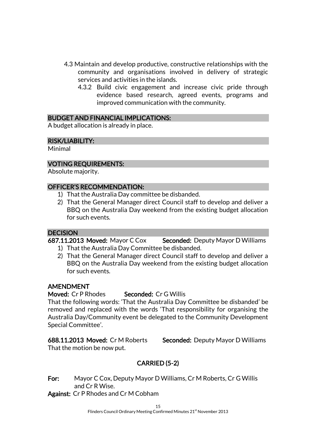- 4.3 Maintain and develop productive, constructive relationships with the community and organisations involved in delivery of strategic services and activities in the islands.
	- 4.3.2 Build civic engagement and increase civic pride through evidence based research, agreed events, programs and improved communication with the community.

### BUDGET AND FINANCIAL IMPLICATIONS:

A budget allocation is already in place.

#### RISK/LIABILITY:

Minimal

### VOTING REQUIREMENTS:

Absolute majority.

#### OFFICER'S RECOMMENDATION:

- 1) That the Australia Day committee be disbanded.
- 2) That the General Manager direct Council staff to develop and deliver a BBQ on the Australia Day weekend from the existing budget allocation for such events.

#### **DECISION**

687.11.2013 Moved: Mayor C Cox Seconded: Deputy Mayor D Williams

- 1) That the Australia Day Committee be disbanded.
- 2) That the General Manager direct Council staff to develop and deliver a BBQ on the Australia Day weekend from the existing budget allocation for such events.

#### AMENDMENT

## Moved: Cr P Rhodes Seconded: Cr G Willis

That the following words: 'That the Australia Day Committee be disbanded' be removed and replaced with the words 'That responsibility for organising the Australia Day/Community event be delegated to the Community Development Special Committee'.

688.11.2013 Moved: Cr M Roberts Seconded: Deputy Mayor D Williams That the motion be now put.

# CARRIED (5-2)

For: Mayor C Cox, Deputy Mayor D Williams, Cr M Roberts, Cr G Willis and Cr R Wise.

Against: Cr P Rhodes and Cr M Cobham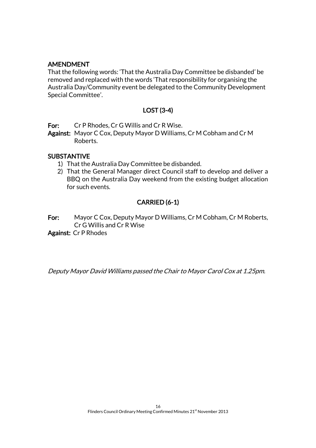## AMENDMENT

That the following words: 'That the Australia Day Committee be disbanded' be removed and replaced with the words 'That responsibility for organising the Australia Day/Community event be delegated to the Community Development Special Committee'.

## LOST (3-4)

For: Cr P Rhodes, Cr G Willis and Cr R Wise.

Against: Mayor C Cox, Deputy Mayor D Williams, Cr M Cobham and Cr M Roberts.

#### SUBSTANTIVE

- 1) That the Australia Day Committee be disbanded.
- 2) That the General Manager direct Council staff to develop and deliver a BBQ on the Australia Day weekend from the existing budget allocation for such events.

## CARRIED (6-1)

For: Mayor C Cox, Deputy Mayor D Williams, Cr M Cobham, Cr M Roberts, Cr G Willis and Cr R Wise

Against: Cr P Rhodes

Deputy Mayor David Williams passed the Chair to Mayor Carol Cox at 1.25pm.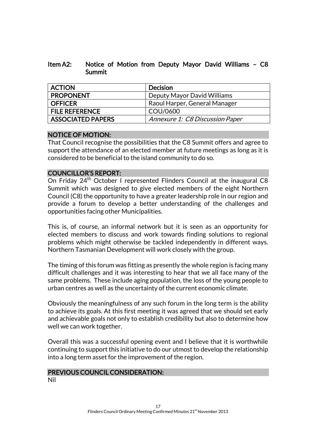### Item A2: Notice of Motion from Deputy Mayor David Williams – C8 Summit

| <b>ACTION</b>            | <b>Decision</b>                        |
|--------------------------|----------------------------------------|
| <b>PROPONENT</b>         | Deputy Mayor David Williams            |
| <b>OFFICER</b>           | Raoul Harper, General Manager          |
| <b>FILE REFERENCE</b>    | COU/0600                               |
| <b>ASSOCIATED PAPERS</b> | <b>Annexure 1: C8 Discussion Paper</b> |

## NOTICE OF MOTION:

That Council recognise the possibilities that the C8 Summit offers and agree to support the attendance of an elected member at future meetings as long as it is considered to be beneficial to the island community to do so.

### COUNCILLOR'S REPORT:

On Friday 24<sup>th</sup> October I represented Flinders Council at the inaugural C8 Summit which was designed to give elected members of the eight Northern Council (C8) the opportunity to have a greater leadership role in our region and provide a forum to develop a better understanding of the challenges and opportunities facing other Municipalities.

This is, of course, an informal network but it is seen as an opportunity for elected members to discuss and work towards finding solutions to regional problems which might otherwise be tackled independently in different ways. Northern Tasmanian Development will work closely with the group.

The timing of this forum was fitting as presently the whole region is facing many difficult challenges and it was interesting to hear that we all face many of the same problems. These include aging population, the loss of the young people to urban centres as well as the uncertainty of the current economic climate.

Obviously the meaningfulness of any such forum in the long term is the ability to achieve its goals. At this first meeting it was agreed that we should set early and achievable goals not only to establish credibility but also to determine how well we can work together.

Overall this was a successful opening event and I believe that it is worthwhile continuing to support this initiative to do our utmost to develop the relationship into a long term asset for the improvement of the region.

#### PREVIOUS COUNCIL CONSIDERATION: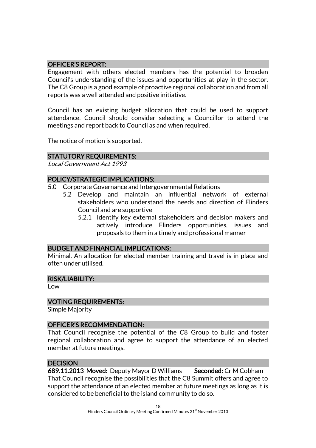### OFFICER'S REPORT:

Engagement with others elected members has the potential to broaden Council's understanding of the issues and opportunities at play in the sector. The C8 Group is a good example of proactive regional collaboration and from all reports was a well attended and positive initiative.

Council has an existing budget allocation that could be used to support attendance. Council should consider selecting a Councillor to attend the meetings and report back to Council as and when required.

The notice of motion is supported.

### STATUTORY REQUIREMENTS:

Local Government Act 1993

## POLICY/STRATEGIC IMPLICATIONS:

- 5.0 Corporate Governance and Intergovernmental Relations
	- 5.2 Develop and maintain an influential network of external stakeholders who understand the needs and direction of Flinders Council and are supportive
		- 5.2.1 Identify key external stakeholders and decision makers and actively introduce Flinders opportunities, issues and proposals to them in a timely and professional manner

#### BUDGET AND FINANCIAL IMPLICATIONS:

Minimal. An allocation for elected member training and travel is in place and often under utilised.

#### RISK/LIABILITY:

Low

#### VOTING REQUIREMENTS:

Simple Majority

#### OFFICER'S RECOMMENDATION:

That Council recognise the potential of the C8 Group to build and foster regional collaboration and agree to support the attendance of an elected member at future meetings.

#### **DECISION**

689.11.2013 Moved: Deputy Mayor D Williams Seconded: Cr M Cobham That Council recognise the possibilities that the C8 Summit offers and agree to support the attendance of an elected member at future meetings as long as it is considered to be beneficial to the island community to do so.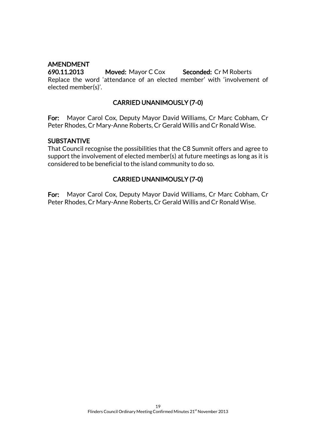## AMENDMENT

690.11.2013 Moved: Mayor C Cox Seconded: Cr M Roberts Replace the word 'attendance of an elected member' with 'involvement of elected member(s)'.

## CARRIED UNANIMOUSLY (7-0)

For: Mayor Carol Cox, Deputy Mayor David Williams, Cr Marc Cobham, Cr Peter Rhodes, Cr Mary-Anne Roberts, Cr Gerald Willis and Cr Ronald Wise.

### SUBSTANTIVE

That Council recognise the possibilities that the C8 Summit offers and agree to support the involvement of elected member(s) at future meetings as long as it is considered to be beneficial to the island community to do so.

## CARRIED UNANIMOUSLY (7-0)

For: Mayor Carol Cox, Deputy Mayor David Williams, Cr Marc Cobham, Cr Peter Rhodes, Cr Mary-Anne Roberts, Cr Gerald Willis and Cr Ronald Wise.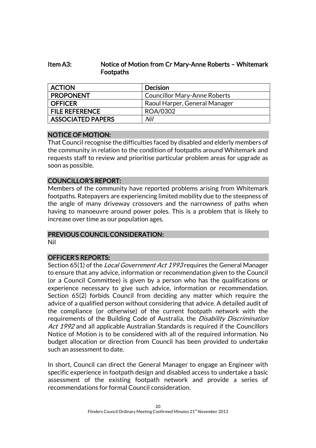## Item A3: Notice of Motion from Cr Mary-Anne Roberts – Whitemark Footpaths

| <b>ACTION</b>         | <b>Decision</b>                     |
|-----------------------|-------------------------------------|
| <b>PROPONENT</b>      | <b>Councillor Mary-Anne Roberts</b> |
| OFFICER               | Raoul Harper, General Manager       |
| <b>FILE REFERENCE</b> | ROA/0302                            |
| ASSOCIATED PAPERS     | Nil                                 |

### NOTICE OF MOTION:

That Council recognise the difficulties faced by disabled and elderly members of the community in relation to the condition of footpaths around Whitemark and requests staff to review and prioritise particular problem areas for upgrade as soon as possible.

### COUNCILLOR'S REPORT:

Members of the community have reported problems arising from Whitemark footpaths. Ratepayers are experiencing limited mobility due to the steepness of the angle of many driveway crossovers and the narrowness of paths when having to manoeuvre around power poles. This is a problem that is likely to increase over time as our population ages.

#### PREVIOUS COUNCIL CONSIDERATION:

Nil

## OFFICER'S REPORTS:

Section 65(1) of the *Local Government Act 1993* requires the General Manager to ensure that any advice, information or recommendation given to the Council (or a Council Committee) is given by a person who has the qualifications or experience necessary to give such advice, information or recommendation. Section 65(2) forbids Council from deciding any matter which require the advice of a qualified person without considering that advice. A detailed audit of the compliance (or otherwise) of the current footpath network with the requirements of the Building Code of Australia, the *Disability Discrimination* Act 1992 and all applicable Australian Standards is required if the Councillors Notice of Motion is to be considered with all of the required information. No budget allocation or direction from Council has been provided to undertake such an assessment to date.

In short, Council can direct the General Manager to engage an Engineer with specific experience in footpath design and disabled access to undertake a basic assessment of the existing footpath network and provide a series of recommendations for formal Council consideration.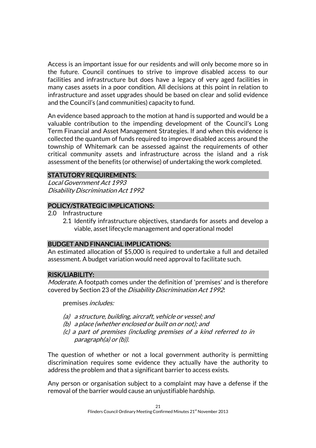Access is an important issue for our residents and will only become more so in the future. Council continues to strive to improve disabled access to our facilities and infrastructure but does have a legacy of very aged facilities in many cases assets in a poor condition. All decisions at this point in relation to infrastructure and asset upgrades should be based on clear and solid evidence and the Council's (and communities) capacity to fund.

An evidence based approach to the motion at hand is supported and would be a valuable contribution to the impending development of the Council's Long Term Financial and Asset Management Strategies. If and when this evidence is collected the quantum of funds required to improve disabled access around the township of Whitemark can be assessed against the requirements of other critical community assets and infrastructure across the island and a risk assessment of the benefits (or otherwise) of undertaking the work completed.

### STATUTORY REQUIREMENTS:

Local Government Act 1993 Disability Discrimination Act 1992

#### POLICY/STRATEGIC IMPLICATIONS:

- 2.0 Infrastructure
	- 2.1 Identify infrastructure objectives, standards for assets and develop a viable, asset lifecycle management and operational model

#### BUDGET AND FINANCIAL IMPLICATIONS:

An estimated allocation of \$5,000 is required to undertake a full and detailed assessment. A budget variation would need approval to facilitate such.

#### RISK/LIABILITY:

Moderate. A footpath comes under the definition of 'premises' and is therefore covered by Section 23 of the Disability Discrimination Act 1992:

premises includes:

- (a) a structure, building, aircraft, vehicle or vessel; and
- (b) a place (whether enclosed or built on or not); and
- (c) <sup>a</sup> part of premises (including premises of a kind referred to in paragraph(a) or (b)).

The question of whether or not a local government authority is permitting discrimination requires some evidence they actually have the authority to address the problem and that a significant barrier to access exists.

Any person or organisation subject to a complaint may have a defense if the removal of the barrier would cause an unjustifiable hardship.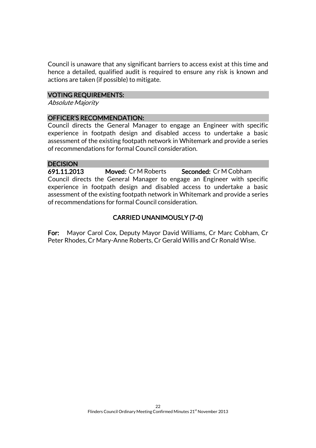Council is unaware that any significant barriers to access exist at this time and hence a detailed, qualified audit is required to ensure any risk is known and actions are taken (if possible) to mitigate.

## VOTING REQUIREMENTS:

Absolute Majority

### OFFICER'S RECOMMENDATION:

Council directs the General Manager to engage an Engineer with specific experience in footpath design and disabled access to undertake a basic assessment of the existing footpath network in Whitemark and provide a series of recommendations for formal Council consideration.

#### **DECISION**

691.11.2013 Moved: Cr M Roberts Seconded: Cr M Cobham Council directs the General Manager to engage an Engineer with specific experience in footpath design and disabled access to undertake a basic assessment of the existing footpath network in Whitemark and provide a series of recommendations for formal Council consideration.

## CARRIED UNANIMOUSLY (7-0)

For: Mayor Carol Cox, Deputy Mayor David Williams, Cr Marc Cobham, Cr Peter Rhodes, Cr Mary-Anne Roberts, Cr Gerald Willis and Cr Ronald Wise.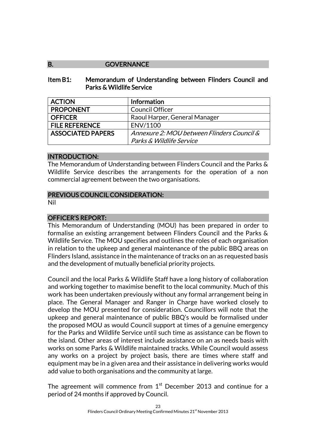### B. **GOVERNANCE**

#### Item B1: Memorandum of Understanding between Flinders Council and Parks & Wildlife Service

| <b>ACTION</b>            | Information                                |
|--------------------------|--------------------------------------------|
| <b>PROPONENT</b>         | <b>Council Officer</b>                     |
| <b>OFFICER</b>           | Raoul Harper, General Manager              |
| <b>FILE REFERENCE</b>    | ENV/1100                                   |
| <b>ASSOCIATED PAPERS</b> | Annexure 2: MOU between Flinders Council & |
|                          | Parks & Wildlife Service                   |

#### INTRODUCTION:

The Memorandum of Understanding between Flinders Council and the Parks & Wildlife Service describes the arrangements for the operation of a non commercial agreement between the two organisations.

### PREVIOUS COUNCIL CONSIDERATION:

Nil

## OFFICER'S REPORT:

This Memorandum of Understanding (MOU) has been prepared in order to formalise an existing arrangement between Flinders Council and the Parks & Wildlife Service. The MOU specifies and outlines the roles of each organisation in relation to the upkeep and general maintenance of the public BBQ areas on Flinders Island, assistance in the maintenance of tracks on an as requested basis and the development of mutually beneficial priority projects.

Council and the local Parks & Wildlife Staff have a long history of collaboration and working together to maximise benefit to the local community. Much of this work has been undertaken previously without any formal arrangement being in place. The General Manager and Ranger in Charge have worked closely to develop the MOU presented for consideration. Councillors will note that the upkeep and general maintenance of public BBQ's would be formalised under the proposed MOU as would Council support at times of a genuine emergency for the Parks and Wildlife Service until such time as assistance can be flown to the island. Other areas of interest include assistance on an as needs basis with works on some Parks & Wildlife maintained tracks. While Council would assess any works on a project by project basis, there are times where staff and equipment may be in a given area and their assistance in delivering works would add value to both organisations and the community at large.

The agreement will commence from  $1<sup>st</sup>$  December 2013 and continue for a period of 24 months if approved by Council.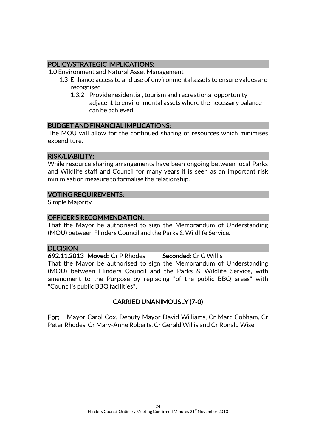## POLICY/STRATEGIC IMPLICATIONS:

- 1.0 Environment and Natural Asset Management
	- 1.3 Enhance access to and use of environmental assets to ensure values are recognised
		- 1.3.2 Provide residential, tourism and recreational opportunity adjacent to environmental assets where the necessary balance can be achieved

## BUDGET AND FINANCIAL IMPLICATIONS:

The MOU will allow for the continued sharing of resources which minimises expenditure.

## RISK/LIABILITY:

While resource sharing arrangements have been ongoing between local Parks and Wildlife staff and Council for many years it is seen as an important risk minimisation measure to formalise the relationship.

## VOTING REQUIREMENTS:

Simple Majority

## OFFICER'S RECOMMENDATION:

That the Mayor be authorised to sign the Memorandum of Understanding (MOU) between Flinders Council and the Parks & Wildlife Service.

## **DECISION**

692.11.2013 Moved: Cr P Rhodes Seconded: Cr G Willis That the Mayor be authorised to sign the Memorandum of Understanding (MOU) between Flinders Council and the Parks & Wildlife Service, with amendment to the Purpose by replacing "of the public BBQ areas" with "Council's public BBQ facilities".

# CARRIED UNANIMOUSLY (7-0)

For: Mayor Carol Cox, Deputy Mayor David Williams, Cr Marc Cobham, Cr Peter Rhodes, Cr Mary-Anne Roberts, Cr Gerald Willis and Cr Ronald Wise.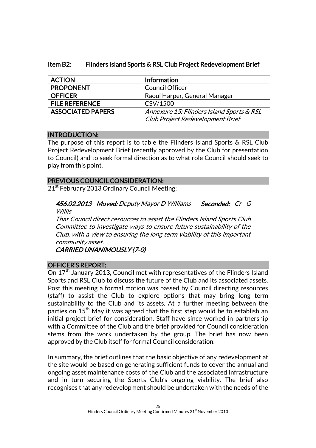| <b>ACTION</b>            | Information                               |
|--------------------------|-------------------------------------------|
| <b>PROPONENT</b>         | <b>Council Officer</b>                    |
| <b>OFFICER</b>           | Raoul Harper, General Manager             |
| <b>FILE REFERENCE</b>    | CSV/1500                                  |
| <b>ASSOCIATED PAPERS</b> | Annexure 15: Flinders Island Sports & RSL |
|                          | Club Project Redevelopment Brief          |

## Item B2: Flinders Island Sports & RSL Club Project Redevelopment Brief

### INTRODUCTION:

The purpose of this report is to table the Flinders Island Sports & RSL Club Project Redevelopment Brief (recently approved by the Club for presentation to Council) and to seek formal direction as to what role Council should seek to play from this point.

### PREVIOUS COUNCIL CONSIDERATION:

21<sup>st</sup> February 2013 Ordinary Council Meeting:

456.02.2013 Moved: Deputy Mayor D Williams Seconded: Cr G Willis

That Council direct resources to assist the Flinders Island Sports Club Committee to investigate ways to ensure future sustainability of the Club, with a view to ensuring the long term viability of this important community asset.

CARRIED UNANIMOUSLY (7-0)

#### OFFICER'S REPORT:

On  $17<sup>th</sup>$  January 2013, Council met with representatives of the Flinders Island Sports and RSL Club to discuss the future of the Club and its associated assets. Post this meeting a formal motion was passed by Council directing resources (staff) to assist the Club to explore options that may bring long term sustainability to the Club and its assets. At a further meeting between the parties on 15<sup>th</sup> May it was agreed that the first step would be to establish an initial project brief for consideration. Staff have since worked in partnership with a Committee of the Club and the brief provided for Council consideration stems from the work undertaken by the group. The brief has now been approved by the Club itself for formal Council consideration.

In summary, the brief outlines that the basic objective of any redevelopment at the site would be based on generating sufficient funds to cover the annual and ongoing asset maintenance costs of the Club and the associated infrastructure and in turn securing the Sports Club's ongoing viability. The brief also recognises that any redevelopment should be undertaken with the needs of the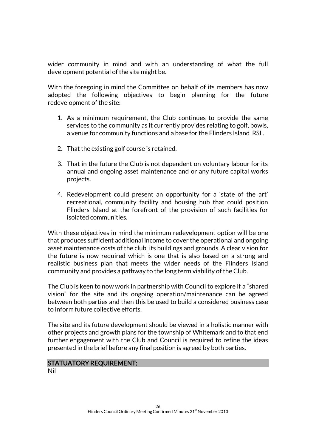wider community in mind and with an understanding of what the full development potential of the site might be.

With the foregoing in mind the Committee on behalf of its members has now adopted the following objectives to begin planning for the future redevelopment of the site:

- 1. As a minimum requirement, the Club continues to provide the same services to the community as it currently provides relating to golf, bowls, a venue for community functions and a base for the Flinders Island RSL.
- 2. That the existing golf course is retained.
- 3. That in the future the Club is not dependent on voluntary labour for its annual and ongoing asset maintenance and or any future capital works projects.
- 4. Redevelopment could present an opportunity for a 'state of the art' recreational, community facility and housing hub that could position Flinders Island at the forefront of the provision of such facilities for isolated communities.

With these objectives in mind the minimum redevelopment option will be one that produces sufficient additional income to cover the operational and ongoing asset maintenance costs of the club, its buildings and grounds. A clear vision for the future is now required which is one that is also based on a strong and realistic business plan that meets the wider needs of the Flinders Island community and provides a pathway to the long term viability of the Club.

The Club is keen to now work in partnership with Council to explore if a "shared vision" for the site and its ongoing operation/maintenance can be agreed between both parties and then this be used to build a considered business case to inform future collective efforts.

The site and its future development should be viewed in a holistic manner with other projects and growth plans for the township of Whitemark and to that end further engagement with the Club and Council is required to refine the ideas presented in the brief before any final position is agreed by both parties.

#### STATUATORY REQUIREMENT: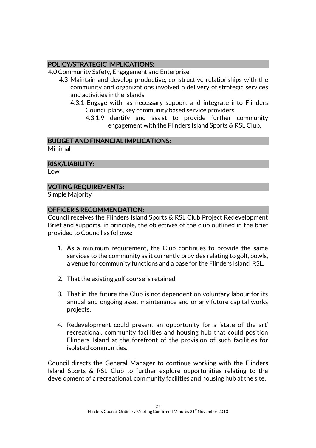## POLICY/STRATEGIC IMPLICATIONS:

4.0 Community Safety, Engagement and Enterprise

- 4.3 Maintain and develop productive, constructive relationships with the community and organizations involved n delivery of strategic services and activities in the islands.
	- 4.3.1 Engage with, as necessary support and integrate into Flinders Council plans, key community based service providers
		- 4.3.1.9 Identify and assist to provide further community engagement with the Flinders Island Sports & RSL Club.

# BUDGET AND FINANCIAL IMPLICATIONS:

Minimal

## RISK/LIABILITY:

Low

## VOTING REQUIREMENTS:

Simple Majority

## OFFICER'S RECOMMENDATION:

Council receives the Flinders Island Sports & RSL Club Project Redevelopment Brief and supports, in principle, the objectives of the club outlined in the brief provided to Council as follows:

- 1. As a minimum requirement, the Club continues to provide the same services to the community as it currently provides relating to golf, bowls, a venue for community functions and a base for the Flinders Island RSL.
- 2. That the existing golf course is retained.
- 3. That in the future the Club is not dependent on voluntary labour for its annual and ongoing asset maintenance and or any future capital works projects.
- 4. Redevelopment could present an opportunity for a 'state of the art' recreational, community facilities and housing hub that could position Flinders Island at the forefront of the provision of such facilities for isolated communities.

Council directs the General Manager to continue working with the Flinders Island Sports & RSL Club to further explore opportunities relating to the development of a recreational, community facilities and housing hub at the site.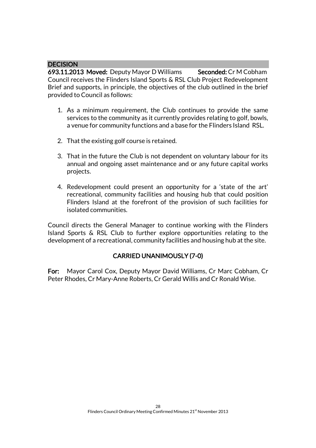### **DECISION**

693.11.2013 Moved: Deputy Mayor D Williams Seconded: Cr M Cobham Council receives the Flinders Island Sports & RSL Club Project Redevelopment Brief and supports, in principle, the objectives of the club outlined in the brief provided to Council as follows:

- 1. As a minimum requirement, the Club continues to provide the same services to the community as it currently provides relating to golf, bowls, a venue for community functions and a base for the Flinders Island RSL.
- 2. That the existing golf course is retained.
- 3. That in the future the Club is not dependent on voluntary labour for its annual and ongoing asset maintenance and or any future capital works projects.
- 4. Redevelopment could present an opportunity for a 'state of the art' recreational, community facilities and housing hub that could position Flinders Island at the forefront of the provision of such facilities for isolated communities.

Council directs the General Manager to continue working with the Flinders Island Sports & RSL Club to further explore opportunities relating to the development of a recreational, community facilities and housing hub at the site.

## CARRIED UNANIMOUSLY (7-0)

For: Mayor Carol Cox, Deputy Mayor David Williams, Cr Marc Cobham, Cr Peter Rhodes, Cr Mary-Anne Roberts, Cr Gerald Willis and Cr Ronald Wise.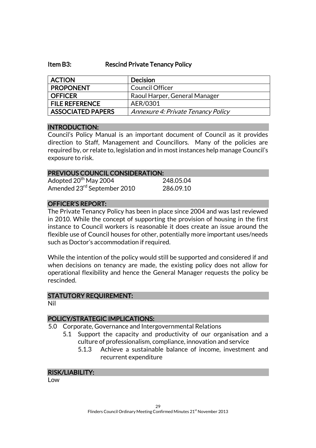#### Item B3: Rescind Private Tenancy Policy

| <b>ACTION</b>            | <b>Decision</b>                    |
|--------------------------|------------------------------------|
| <b>PROPONENT</b>         | Council Officer                    |
| <b>OFFICER</b>           | Raoul Harper, General Manager      |
| <b>FILE REFERENCE</b>    | AER/0301                           |
| <b>ASSOCIATED PAPERS</b> | Annexure 4: Private Tenancy Policy |

#### INTRODUCTION:

Council's Policy Manual is an important document of Council as it provides direction to Staff, Management and Councillors. Many of the policies are required by, or relate to, legislation and in most instances help manage Council's exposure to risk.

# PREVIOUS COUNCIL CONSIDERATION:

| Adopted 20 <sup>th</sup> May 2004       | 248.05.04 |
|-----------------------------------------|-----------|
| Amended 23 <sup>rd</sup> September 2010 | 286.09.10 |

### OFFICER'S REPORT:

The Private Tenancy Policy has been in place since 2004 and was last reviewed in 2010. While the concept of supporting the provision of housing in the first instance to Council workers is reasonable it does create an issue around the flexible use of Council houses for other, potentially more important uses/needs such as Doctor's accommodation if required.

While the intention of the policy would still be supported and considered if and when decisions on tenancy are made, the existing policy does not allow for operational flexibility and hence the General Manager requests the policy be rescinded.

#### STATUTORY REQUIREMENT:

Nil

## POLICY/STRATEGIC IMPLICATIONS:

- 5.0 Corporate, Governance and Intergovernmental Relations
	- 5.1 Support the capacity and productivity of our organisation and a culture of professionalism, compliance, innovation and service
		- 5.1.3 Achieve a sustainable balance of income, investment and recurrent expenditure

#### RISK/LIABILITY:

Low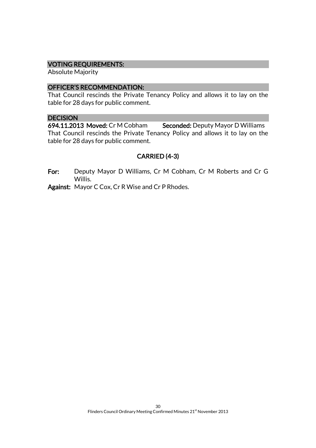#### VOTING REQUIREMENTS:

Absolute Majority

#### OFFICER'S RECOMMENDATION:

That Council rescinds the Private Tenancy Policy and allows it to lay on the table for 28 days for public comment.

#### **DECISION**

694.11.2013 Moved: Cr M Cobham Seconded: Deputy Mayor D Williams That Council rescinds the Private Tenancy Policy and allows it to lay on the table for 28 days for public comment.

## CARRIED (4-3)

For: Deputy Mayor D Williams, Cr M Cobham, Cr M Roberts and Cr G Willis.

Against: Mayor C Cox, Cr R Wise and Cr P Rhodes.